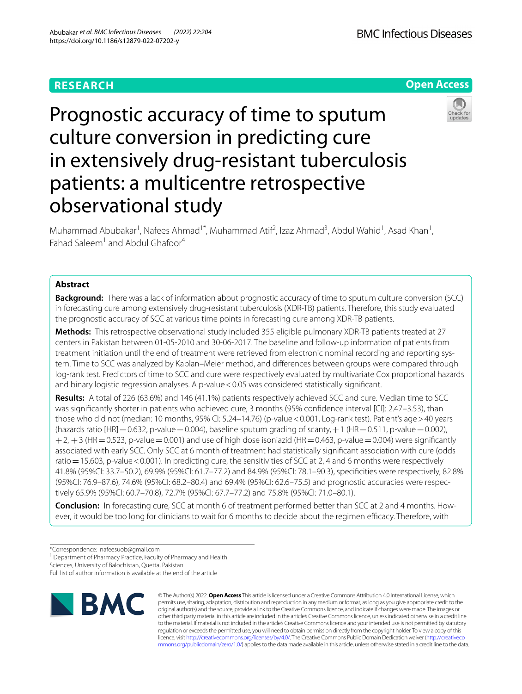## **RESEARCH**

**Open Access**

**BMC Infectious Diseases** 

# Prognostic accuracy of time to sputum culture conversion in predicting cure in extensively drug-resistant tuberculosis patients: a multicentre retrospective observational study



Muhammad Abubakar<sup>1</sup>, Nafees Ahmad<sup>1\*</sup>, Muhammad Atif<sup>2</sup>, Izaz Ahmad<sup>3</sup>, Abdul Wahid<sup>1</sup>, Asad Khan<sup>1</sup>, Fahad Saleem<sup>1</sup> and Abdul Ghafoor<sup>4</sup>

## **Abstract**

**Background:** There was a lack of information about prognostic accuracy of time to sputum culture conversion (SCC) in forecasting cure among extensively drug-resistant tuberculosis (XDR-TB) patients. Therefore, this study evaluated the prognostic accuracy of SCC at various time points in forecasting cure among XDR-TB patients.

**Methods:** This retrospective observational study included 355 eligible pulmonary XDR-TB patients treated at 27 centers in Pakistan between 01-05-2010 and 30-06-2017. The baseline and follow-up information of patients from treatment initiation until the end of treatment were retrieved from electronic nominal recording and reporting system. Time to SCC was analyzed by Kaplan–Meier method, and diferences between groups were compared through log-rank test. Predictors of time to SCC and cure were respectively evaluated by multivariate Cox proportional hazards and binary logistic regression analyses. A p-value < 0.05 was considered statistically significant.

**Results:** A total of 226 (63.6%) and 146 (41.1%) patients respectively achieved SCC and cure. Median time to SCC was signifcantly shorter in patients who achieved cure, 3 months (95% confdence interval [CI]: 2.47–3.53), than those who did not (median: 10 months, 95% CI: 5.24–14.76) (p-value<0.001, Log-rank test). Patient's age>40 years (hazards ratio  $[HR]=0.632$ , p-value = 0.004), baseline sputum grading of scanty, +1 (HR=0.511, p-value=0.002),  $+2$ ,  $+3$  (HR = 0.523, p-value = 0.001) and use of high dose isoniazid (HR = 0.463, p-value = 0.004) were significantly associated with early SCC. Only SCC at 6 month of treatment had statistically signifcant association with cure (odds ratio = 15.603, p-value < 0.001). In predicting cure, the sensitivities of SCC at 2, 4 and 6 months were respectively 41.8% (95%CI: 33.7–50.2), 69.9% (95%CI: 61.7–77.2) and 84.9% (95%CI: 78.1–90.3), specifcities were respectively, 82.8% (95%CI: 76.9–87.6), 74.6% (95%CI: 68.2–80.4) and 69.4% (95%CI: 62.6–75.5) and prognostic accuracies were respectively 65.9% (95%CI: 60.7–70.8), 72.7% (95%CI: 67.7–77.2) and 75.8% (95%CI: 71.0–80.1).

**Conclusion:** In forecasting cure, SCC at month 6 of treatment performed better than SCC at 2 and 4 months. However, it would be too long for clinicians to wait for 6 months to decide about the regimen efficacy. Therefore, with

<sup>1</sup> Department of Pharmacy Practice, Faculty of Pharmacy and Health

Sciences, University of Balochistan, Quetta, Pakistan

Full list of author information is available at the end of the article



© The Author(s) 2022. **Open Access** This article is licensed under a Creative Commons Attribution 4.0 International License, which permits use, sharing, adaptation, distribution and reproduction in any medium or format, as long as you give appropriate credit to the original author(s) and the source, provide a link to the Creative Commons licence, and indicate if changes were made. The images or other third party material in this article are included in the article's Creative Commons licence, unless indicated otherwise in a credit line to the material. If material is not included in the article's Creative Commons licence and your intended use is not permitted by statutory regulation or exceeds the permitted use, you will need to obtain permission directly from the copyright holder. To view a copy of this licence, visit [http://creativecommons.org/licenses/by/4.0/.](http://creativecommons.org/licenses/by/4.0/) The Creative Commons Public Domain Dedication waiver ([http://creativeco](http://creativecommons.org/publicdomain/zero/1.0/) [mmons.org/publicdomain/zero/1.0/](http://creativecommons.org/publicdomain/zero/1.0/)) applies to the data made available in this article, unless otherwise stated in a credit line to the data.

<sup>\*</sup>Correspondence: nafeesuob@gmail.com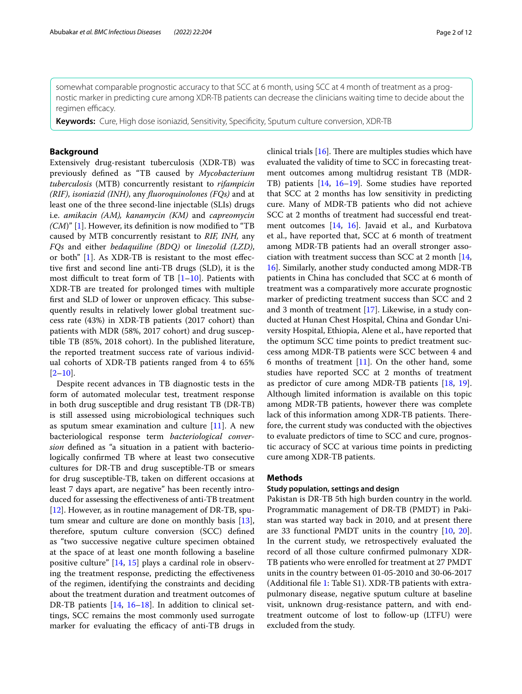somewhat comparable prognostic accuracy to that SCC at 6 month, using SCC at 4 month of treatment as a prognostic marker in predicting cure among XDR-TB patients can decrease the clinicians waiting time to decide about the regimen efficacy.

**Keywords:** Cure, High dose isoniazid, Sensitivity, Specifcity, Sputum culture conversion, XDR-TB

## **Background**

Extensively drug-resistant tuberculosis (XDR-TB) was previously defned as "TB caused by *Mycobacterium tuberculosis* (MTB) concurrently resistant to *rifampicin (RIF)*, *isoniazid (INH)*, any *fuoroquinolones (FQs)* and at least one of the three second-line injectable (SLIs) drugs i.e. *amikacin (AM), kanamycin (KM)* and *capreomycin (CM*)" [[1\]](#page-10-0). However, its defnition is now modifed to "TB caused by MTB concurrently resistant to *RIF, INH,* any *FQs* and either *bedaquiline (BDQ)* or *linezolid (LZD)*, or both" [\[1](#page-10-0)]. As XDR-TB is resistant to the most efective frst and second line anti-TB drugs (SLD), it is the most difficult to treat form of TB  $[1–10]$  $[1–10]$ . Patients with XDR-TB are treated for prolonged times with multiple first and SLD of lower or unproven efficacy. This subsequently results in relatively lower global treatment success rate (43%) in XDR-TB patients (2017 cohort) than patients with MDR (58%, 2017 cohort) and drug susceptible TB (85%, 2018 cohort). In the published literature, the reported treatment success rate of various individual cohorts of XDR-TB patients ranged from 4 to 65%  $[2-10]$  $[2-10]$ .

Despite recent advances in TB diagnostic tests in the form of automated molecular test, treatment response in both drug susceptible and drug resistant TB (DR-TB) is still assessed using microbiological techniques such as sputum smear examination and culture  $[11]$  $[11]$ . A new bacteriological response term *bacteriological conversion* defned as "a situation in a patient with bacteriologically confrmed TB where at least two consecutive cultures for DR-TB and drug susceptible-TB or smears for drug susceptible-TB, taken on diferent occasions at least 7 days apart, are negative" has been recently introduced for assessing the efectiveness of anti-TB treatment [[12\]](#page-11-2). However, as in routine management of DR-TB, sputum smear and culture are done on monthly basis [\[13](#page-11-3)], therefore, sputum culture conversion (SCC) defned as "two successive negative culture specimen obtained at the space of at least one month following a baseline positive culture" [[14,](#page-11-4) [15\]](#page-11-5) plays a cardinal role in observing the treatment response, predicting the efectiveness of the regimen, identifying the constraints and deciding about the treatment duration and treatment outcomes of DR-TB patients [[14,](#page-11-4) [16–](#page-11-6)[18](#page-11-7)]. In addition to clinical settings, SCC remains the most commonly used surrogate marker for evaluating the efficacy of anti-TB drugs in clinical trials  $[16]$  $[16]$  $[16]$ . There are multiples studies which have evaluated the validity of time to SCC in forecasting treatment outcomes among multidrug resistant TB (MDR-TB) patients [[14,](#page-11-4) [16](#page-11-6)[–19](#page-11-8)]. Some studies have reported that SCC at 2 months has low sensitivity in predicting cure. Many of MDR-TB patients who did not achieve SCC at 2 months of treatment had successful end treatment outcomes [\[14](#page-11-4), [16](#page-11-6)]. Javaid et al., and Kurbatova et al., have reported that, SCC at 6 month of treatment among MDR-TB patients had an overall stronger association with treatment success than SCC at 2 month [[14](#page-11-4), [16\]](#page-11-6). Similarly, another study conducted among MDR-TB patients in China has concluded that SCC at 6 month of treatment was a comparatively more accurate prognostic marker of predicting treatment success than SCC and 2 and 3 month of treatment [\[17\]](#page-11-9). Likewise, in a study conducted at Hunan Chest Hospital, China and Gondar University Hospital, Ethiopia, Alene et al., have reported that the optimum SCC time points to predict treatment success among MDR-TB patients were SCC between 4 and 6 months of treatment  $[11]$  $[11]$ . On the other hand, some studies have reported SCC at 2 months of treatment as predictor of cure among MDR-TB patients [\[18](#page-11-7), [19](#page-11-8)]. Although limited information is available on this topic among MDR-TB patients, however there was complete lack of this information among XDR-TB patients. Therefore, the current study was conducted with the objectives to evaluate predictors of time to SCC and cure, prognostic accuracy of SCC at various time points in predicting cure among XDR-TB patients.

#### **Methods**

#### **Study population, settings and design**

Pakistan is DR-TB 5th high burden country in the world. Programmatic management of DR-TB (PMDT) in Pakistan was started way back in 2010, and at present there are 33 functional PMDT units in the country [\[10,](#page-11-0) [20](#page-11-10)]. In the current study, we retrospectively evaluated the record of all those culture confrmed pulmonary XDR-TB patients who were enrolled for treatment at 27 PMDT units in the country between 01-05-2010 and 30-06-2017 (Additional fle [1:](#page-10-2) Table S1). XDR-TB patients with extrapulmonary disease, negative sputum culture at baseline visit, unknown drug-resistance pattern, and with endtreatment outcome of lost to follow-up (LTFU) were excluded from the study.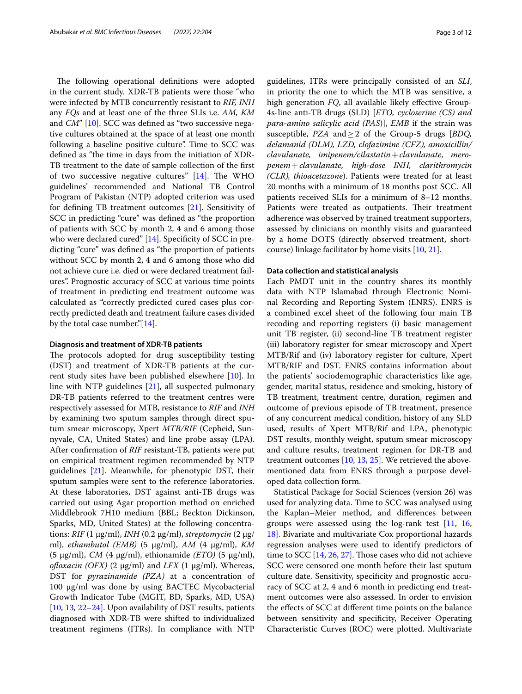The following operational definitions were adopted in the current study. XDR-TB patients were those "who were infected by MTB concurrently resistant to *RIF, INH* any *FQs* and at least one of the three SLIs i.e. *AM, KM* and *CM*" [[10\]](#page-11-0). SCC was defined as "two successive negative cultures obtained at the space of at least one month following a baseline positive culture". Time to SCC was defned as "the time in days from the initiation of XDR-TB treatment to the date of sample collection of the frst of two successive negative cultures"  $[14]$  $[14]$ . The WHO guidelines' recommended and National TB Control Program of Pakistan (NTP) adopted criterion was used for defning TB treatment outcomes [\[21\]](#page-11-11). Sensitivity of SCC in predicting "cure" was defned as "the proportion of patients with SCC by month 2, 4 and 6 among those who were declared cured" [[14\]](#page-11-4). Specificity of SCC in predicting "cure" was defned as "the proportion of patients without SCC by month 2, 4 and 6 among those who did not achieve cure i.e. died or were declared treatment failures". Prognostic accuracy of SCC at various time points of treatment in predicting end treatment outcome was calculated as "correctly predicted cured cases plus correctly predicted death and treatment failure cases divided by the total case number."[[14\]](#page-11-4).

#### **Diagnosis and treatment of XDR‑TB patients**

The protocols adopted for drug susceptibility testing (DST) and treatment of XDR-TB patients at the current study sites have been published elsewhere [[10\]](#page-11-0). In line with NTP guidelines [\[21](#page-11-11)], all suspected pulmonary DR-TB patients referred to the treatment centres were respectively assessed for MTB, resistance to *RIF* and *INH* by examining two sputum samples through direct sputum smear microscopy, Xpert *MTB/RIF* (Cepheid, Sunnyvale, CA, United States) and line probe assay (LPA). After confrmation of *RIF* resistant-TB, patients were put on empirical treatment regimen recommended by NTP guidelines [\[21\]](#page-11-11). Meanwhile, for phenotypic DST, their sputum samples were sent to the reference laboratories. At these laboratories, DST against anti-TB drugs was carried out using Agar proportion method on enriched Middlebrook 7H10 medium (BBL; Beckton Dickinson, Sparks, MD, United States) at the following concentrations: *RIF* (1 µg/ml), *INH* (0.2 µg/ml), *streptomycin* (2 µg/ ml), *ethambutol (EMB)* (5 µg/ml), *AM* (4 µg/ml), *KM* (5 µg/ml), *CM* (4 µg/ml), ethionamide *(ETO)* (5 µg/ml), *ofoxacin (OFX)* (2 µg/ml) and *LFX* (1 µg/ml). Whereas, DST for *pyrazinamide (PZA)* at a concentration of 100 μg/ml was done by using BACTEC Mycobacterial Growth Indicator Tube (MGIT, BD, Sparks, MD, USA) [[10,](#page-11-0) [13](#page-11-3), [22–](#page-11-12)[24\]](#page-11-13). Upon availability of DST results, patients diagnosed with XDR-TB were shifted to individualized treatment regimens (ITRs). In compliance with NTP

guidelines, ITRs were principally consisted of an *SLI*, in priority the one to which the MTB was sensitive, a high generation *FQ*, all available likely effective Group-4s-line anti-TB drugs (SLD) [*ETO, cycloserine (CS) and para-amino salicylic acid (PAS*)], *EMB* if the strain was susceptible, *PZA* and≥2 of the Group-5 drugs [*BDQ, delamanid (DLM), LZD, clofazimine (CFZ), amoxicillin/ clavulanate, imipenem/cilastatin*+*clavulanate, meropenem*+*clavulanate, high-dose INH, clarithromycin (CLR), thioacetazone*). Patients were treated for at least 20 months with a minimum of 18 months post SCC. All patients received SLIs for a minimum of 8–12 months. Patients were treated as outpatients. Their treatment adherence was observed by trained treatment supporters, assessed by clinicians on monthly visits and guaranteed by a home DOTS (directly observed treatment, shortcourse) linkage facilitator by home visits [\[10](#page-11-0), [21\]](#page-11-11).

#### **Data collection and statistical analysis**

Each PMDT unit in the country shares its monthly data with NTP Islamabad through Electronic Nominal Recording and Reporting System (ENRS). ENRS is a combined excel sheet of the following four main TB recoding and reporting registers (i) basic management unit TB register, (ii) second-line TB treatment register (iii) laboratory register for smear microscopy and Xpert MTB/Rif and (iv) laboratory register for culture, Xpert MTB/RIF and DST. ENRS contains information about the patients' sociodemographic characteristics like age, gender, marital status, residence and smoking, history of TB treatment, treatment centre, duration, regimen and outcome of previous episode of TB treatment, presence of any concurrent medical condition, history of any SLD used, results of Xpert MTB/Rif and LPA, phenotypic DST results, monthly weight, sputum smear microscopy and culture results, treatment regimen for DR-TB and treatment outcomes [\[10,](#page-11-0) [13](#page-11-3), [25](#page-11-14)]. We retrieved the abovementioned data from ENRS through a purpose developed data collection form.

Statistical Package for Social Sciences (version 26) was used for analyzing data. Time to SCC was analysed using the Kaplan–Meier method, and diferences between groups were assessed using the log-rank test [\[11](#page-11-1), [16](#page-11-6), [18\]](#page-11-7). Bivariate and multivariate Cox proportional hazards regression analyses were used to identify predictors of time to SCC  $[14, 26, 27]$  $[14, 26, 27]$  $[14, 26, 27]$  $[14, 26, 27]$  $[14, 26, 27]$ . Those cases who did not achieve SCC were censored one month before their last sputum culture date. Sensitivity, specifcity and prognostic accuracy of SCC at 2, 4 and 6 month in predicting end treatment outcomes were also assessed. In order to envision the efects of SCC at diferent time points on the balance between sensitivity and specifcity, Receiver Operating Characteristic Curves (ROC) were plotted. Multivariate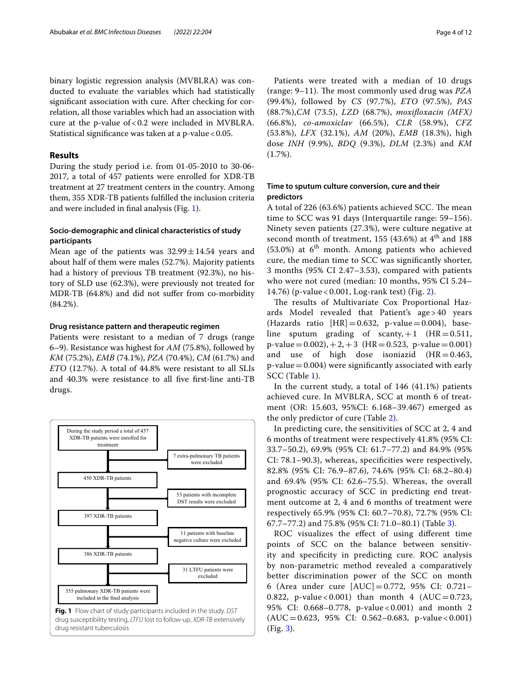binary logistic regression analysis (MVBLRA) was conducted to evaluate the variables which had statistically signifcant association with cure. After checking for correlation, all those variables which had an association with cure at the p-value of<0.2 were included in MVBLRA. Statistical significance was taken at a p-value < 0.05.

## **Results**

During the study period i.e. from 01-05-2010 to 30-06- 2017, a total of 457 patients were enrolled for XDR-TB treatment at 27 treatment centers in the country. Among them, 355 XDR-TB patients fulflled the inclusion criteria and were included in fnal analysis (Fig. [1\)](#page-3-0).

## **Socio‑demographic and clinical characteristics of study participants**

Mean age of the patients was  $32.99 \pm 14.54$  years and about half of them were males (52.7%). Majority patients had a history of previous TB treatment (92.3%), no history of SLD use (62.3%), were previously not treated for MDR-TB (64.8%) and did not sufer from co-morbidity (84.2%).

#### **Drug resistance pattern and therapeutic regimen**

Patients were resistant to a median of 7 drugs (range 6–9). Resistance was highest for *AM* (75.8%), followed by *KM* (75.2%), *EMB* (74.1%), *PZA* (70.4%), *CM* (61.7%) and *ETO* (12.7%). A total of 44.8% were resistant to all SLIs and 40.3% were resistance to all fve frst-line anti-TB drugs.

<span id="page-3-0"></span>

Patients were treated with a median of 10 drugs (range: 9–11). The most commonly used drug was *PZA* (99.4%), followed by *CS* (97.7%), *ETO* (97.5%), *PAS* (88.7%),*CM* (73.5), *LZD* (68.7%), *moxifoxacin (MFX)* (66.8%), *co-amoxiclav* (66.5%), *CLR* (58.9%), *CFZ* (53.8%), *LFX* (32.1%), *AM* (20%), *EMB* (18.3%), high dose *INH* (9.9%), *BDQ* (9.3%), *DLM* (2.3%) and *KM* (1.7%).

## **Time to sputum culture conversion, cure and their predictors**

A total of 226 (63.6%) patients achieved SCC. The mean time to SCC was 91 days (Interquartile range: 59–156). Ninety seven patients (27.3%), were culture negative at second month of treatment, 155 (43.6%) at  $4<sup>th</sup>$  and 188  $(53.0%)$  at  $6<sup>th</sup>$  month. Among patients who achieved cure, the median time to SCC was signifcantly shorter, 3 months (95% CI 2.47–3.53), compared with patients who were not cured (median: 10 months, 95% CI 5.24– 14.76) (p-value < 0.001, Log-rank test) (Fig. [2\)](#page-4-0).

The results of Multivariate Cox Proportional Hazards Model revealed that Patient's age > 40 years (Hazards ratio  $[HR] = 0.632$ , p-value  $= 0.004$ ), baseline sputum grading of scanty,  $+1$  (HR = 0.511,  $p-value = 0.002$ ,  $+2$ ,  $+3$  (HR = 0.523, p-value = 0.001) and use of high dose isoniazid  $(HR=0.463,$  $p$ -value  $=0.004$ ) were significantly associated with early SCC (Table [1](#page-5-0)).

In the current study, a total of 146 (41.1%) patients achieved cure. In MVBLRA, SCC at month 6 of treatment (OR: 15.603, 95%CI: 6.168–39.467) emerged as the only predictor of cure (Table [2\)](#page-7-0).

In predicting cure, the sensitivities of SCC at 2, 4 and 6 months of treatment were respectively 41.8% (95% CI: 33.7–50.2), 69.9% (95% CI: 61.7–77.2) and 84.9% (95% CI: 78.1–90.3), whereas, specifcities were respectively, 82.8% (95% CI: 76.9–87.6), 74.6% (95% CI: 68.2–80.4) and 69.4% (95% CI: 62.6–75.5). Whereas, the overall prognostic accuracy of SCC in predicting end treatment outcome at 2, 4 and 6 months of treatment were respectively 65.9% (95% CI: 60.7–70.8), 72.7% (95% CI: 67.7–77.2) and 75.8% (95% CI: 71.0–80.1) (Table [3\)](#page-9-0).

ROC visualizes the efect of using diferent time points of SCC on the balance between sensitivity and specifcity in predicting cure. ROC analysis by non-parametric method revealed a comparatively better discrimination power of the SCC on month 6 (Area under cure [AUC]=0.772, 95% CI: 0.721– 0.822, p-value < 0.001) than month 4 (AUC = 0.723, 95% CI: 0.668–0.778, p-value < 0.001) and month 2 (AUC=0.623, 95% CI: 0.562–0.683, p-value < 0.001) (Fig. [3\)](#page-9-1).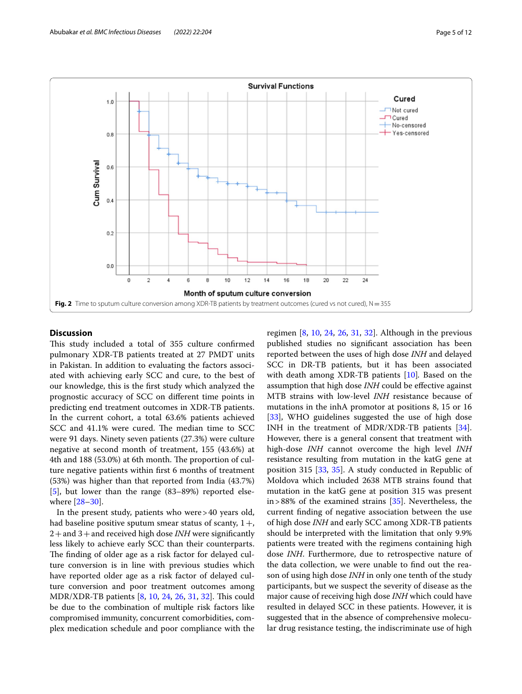

## <span id="page-4-0"></span>**Discussion**

This study included a total of 355 culture confirmed pulmonary XDR-TB patients treated at 27 PMDT units in Pakistan. In addition to evaluating the factors associated with achieving early SCC and cure, to the best of our knowledge, this is the frst study which analyzed the prognostic accuracy of SCC on diferent time points in predicting end treatment outcomes in XDR-TB patients. In the current cohort, a total 63.6% patients achieved SCC and 41.1% were cured. The median time to SCC were 91 days. Ninety seven patients (27.3%) were culture negative at second month of treatment, 155 (43.6%) at 4th and 188 (53.0%) at 6th month. The proportion of culture negative patients within frst 6 months of treatment (53%) was higher than that reported from India (43.7%) [[5\]](#page-10-3), but lower than the range (83–89%) reported elsewhere [\[28–](#page-11-17)[30\]](#page-11-18).

In the present study, patients who were>40 years old, had baseline positive sputum smear status of scanty,  $1 +$ , 2+and 3+and received high dose *INH* were signifcantly less likely to achieve early SCC than their counterparts. The finding of older age as a risk factor for delayed culture conversion is in line with previous studies which have reported older age as a risk factor of delayed culture conversion and poor treatment outcomes among MDR/XDR-TB patients [[8,](#page-11-19) [10,](#page-11-0) [24,](#page-11-13) [26](#page-11-15), [31](#page-11-20), [32](#page-11-21)]. This could be due to the combination of multiple risk factors like compromised immunity, concurrent comorbidities, complex medication schedule and poor compliance with the regimen [[8,](#page-11-19) [10,](#page-11-0) [24](#page-11-13), [26](#page-11-15), [31](#page-11-20), [32\]](#page-11-21). Although in the previous published studies no signifcant association has been reported between the uses of high dose *INH* and delayed SCC in DR-TB patients, but it has been associated with death among XDR-TB patients [\[10\]](#page-11-0)*.* Based on the assumption that high dose *INH* could be efective against MTB strains with low-level *INH* resistance because of mutations in the inhA promotor at positions 8, 15 or 16 [[33\]](#page-11-22), WHO guidelines suggested the use of high dose INH in the treatment of MDR/XDR-TB patients [\[34](#page-11-23)]. However, there is a general consent that treatment with high-dose *INH* cannot overcome the high level *INH* resistance resulting from mutation in the katG gene at position 315 [\[33,](#page-11-22) [35](#page-11-24)]. A study conducted in Republic of Moldova which included 2638 MTB strains found that mutation in the katG gene at position 315 was present in>88% of the examined strains [[35](#page-11-24)]. Nevertheless, the current fnding of negative association between the use of high dose *INH* and early SCC among XDR-TB patients should be interpreted with the limitation that only 9.9% patients were treated with the regimens containing high dose *INH*. Furthermore, due to retrospective nature of the data collection, we were unable to fnd out the reason of using high dose *INH* in only one tenth of the study participants, but we suspect the severity of disease as the major cause of receiving high dose *INH* which could have resulted in delayed SCC in these patients. However, it is suggested that in the absence of comprehensive molecular drug resistance testing, the indiscriminate use of high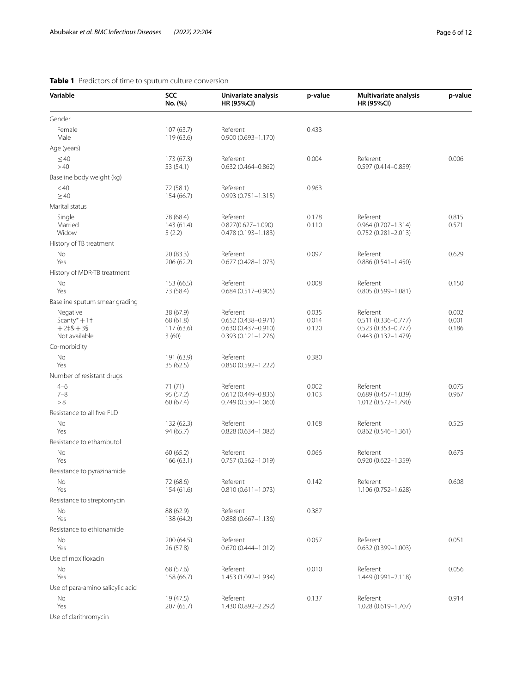| tum culture conversion. |                                          |         |                                                   |         |  |  |  |
|-------------------------|------------------------------------------|---------|---------------------------------------------------|---------|--|--|--|
| <b>SCC</b><br>No. (%)   | Univariate analysis<br><b>HR (95%CI)</b> | p-value | <b>Multivariate analysis</b><br><b>HR (95%CI)</b> | p-value |  |  |  |
| 107(63.7)<br>119 (63.6) | Referent<br>$0.900(0.693 - 1.170)$       | 0.433   |                                                   |         |  |  |  |

## <span id="page-5-0"></span>**Table 1** Predictors of time to sput

**Variable** 

| Gender                                             |                                     |                                                              |                         |                                                              |                         |
|----------------------------------------------------|-------------------------------------|--------------------------------------------------------------|-------------------------|--------------------------------------------------------------|-------------------------|
| Female<br>Male                                     | 107(63.7)<br>119(63.6)              | Referent<br>$0.900(0.693 - 1.170)$                           | 0.433                   |                                                              |                         |
| Age (years)                                        |                                     |                                                              |                         |                                                              |                         |
| $\leq 40$<br>>40                                   | 173 (67.3)<br>53 (54.1)             | Referent<br>$0.632(0.464 - 0.862)$                           | 0.004                   | Referent<br>0.597 (0.414-0.859)                              | 0.006                   |
| Baseline body weight (kg)                          |                                     |                                                              |                         |                                                              |                         |
| < 40<br>$\geq 40$                                  | 72 (58.1)<br>154 (66.7)             | Referent<br>$0.993(0.751 - 1.315)$                           | 0.963                   |                                                              |                         |
| Marital status                                     |                                     |                                                              |                         |                                                              |                         |
| Single<br>Married<br>Widow                         | 78 (68.4)<br>143(61.4)<br>5(2.2)    | Referent<br>$0.827(0.627 - 1.090)$<br>$0.478(0.193 - 1.183)$ | 0.178<br>0.110          | Referent<br>$0.964(0.707 - 1.314)$<br>$0.752(0.281 - 2.013)$ | 0.815<br>0.571          |
| History of TB treatment                            |                                     |                                                              |                         |                                                              |                         |
| No<br>Yes                                          | 20 (83.3)<br>206 (62.2)             | Referent<br>$0.677(0.428 - 1.073)$                           | 0.097                   | Referent<br>$0.886(0.541 - 1.450)$                           | 0.629                   |
| History of MDR-TB treatment                        |                                     |                                                              |                         |                                                              |                         |
| No<br>Yes                                          | 153 (66.5)<br>73 (58.4)             | Referent<br>$0.684(0.517 - 0.905)$                           | 0.008                   | Referent<br>$0.805(0.599 - 1.081)$                           | 0.150                   |
| Baseline sputum smear grading                      |                                     |                                                              |                         |                                                              |                         |
| Negative<br>Scanty* $+1$ <sup>+</sup><br>$+2+8+39$ | 38 (67.9)<br>68 (61.8)<br>117(63.6) | Referent<br>$0.652(0.438 - 0.971)$<br>$0.630(0.437 - 0.910)$ | 0.035<br>0.014<br>0.120 | Referent<br>$0.511(0.336 - 0.777)$<br>$0.523(0.353 - 0.777)$ | 0.002<br>0.001<br>0.186 |
| Not available                                      | 3(60)                               | $0.393(0.121 - 1.276)$                                       |                         | $0.443(0.132 - 1.479)$                                       |                         |
| Co-morbidity                                       |                                     |                                                              |                         |                                                              |                         |
| No<br>Yes                                          | 191 (63.9)<br>35(62.5)              | Referent<br>$0.850(0.592 - 1.222)$                           | 0.380                   |                                                              |                         |
| Number of resistant drugs                          |                                     |                                                              |                         |                                                              |                         |
| $4 - 6$<br>$7 - 8$<br>> 8                          | 71(71)<br>95 (57.2)<br>60 (67.4)    | Referent<br>$0.612(0.449 - 0.836)$<br>$0.749(0.530 - 1.060)$ | 0.002<br>0.103          | Referent<br>$0.689(0.457 - 1.039)$<br>1.012 (0.572-1.790)    | 0.075<br>0.967          |
| Resistance to all five FLD                         |                                     |                                                              |                         |                                                              |                         |
| No<br>Yes                                          | 132 (62.3)<br>94 (65.7)             | Referent<br>$0.828(0.634 - 1.082)$                           | 0.168                   | Referent<br>$0.862(0.546 - 1.361)$                           | 0.525                   |
| Resistance to ethambutol                           |                                     |                                                              |                         |                                                              |                         |
| <b>No</b><br>Yes                                   | 60 (65.2)<br>166(63.1)              | Referent<br>$0.757(0.562 - 1.019)$                           | 0.066                   | Referent<br>$0.920(0.622 - 1.359)$                           | 0.675                   |
| Resistance to pyrazinamide                         |                                     |                                                              |                         |                                                              |                         |
| No<br>Yes                                          | 72 (68.6)<br>154 (61.6)             | Referent<br>$0.810(0.611 - 1.073)$                           | 0.142                   | Referent<br>1.106 (0.752-1.628)                              | 0.608                   |
| Resistance to streptomycin                         |                                     |                                                              |                         |                                                              |                         |
| No<br>Yes                                          | 88 (62.9)<br>138 (64.2)             | Referent<br>$0.888(0.667 - 1.136)$                           | 0.387                   |                                                              |                         |
| Resistance to ethionamide                          |                                     |                                                              |                         |                                                              |                         |
| No<br>Yes                                          | 200 (64.5)<br>26(57.8)              | Referent<br>$0.670(0.444 - 1.012)$                           | 0.057                   | Referent<br>$0.632(0.399 - 1.003)$                           | 0.051                   |
| Use of moxifloxacin                                |                                     |                                                              |                         |                                                              |                         |
| No<br>Yes                                          | 68 (57.6)<br>158 (66.7)             | Referent<br>1.453 (1.092-1.934)                              | 0.010                   | Referent<br>1.449 (0.991-2.118)                              | 0.056                   |
| Use of para-amino salicylic acid                   |                                     |                                                              |                         |                                                              |                         |
| No<br>Yes                                          | 19 (47.5)<br>207 (65.7)             | Referent<br>1.430 (0.892-2.292)                              | 0.137                   | Referent<br>1.028 (0.619-1.707)                              | 0.914                   |
| Use of clarithromycin                              |                                     |                                                              |                         |                                                              |                         |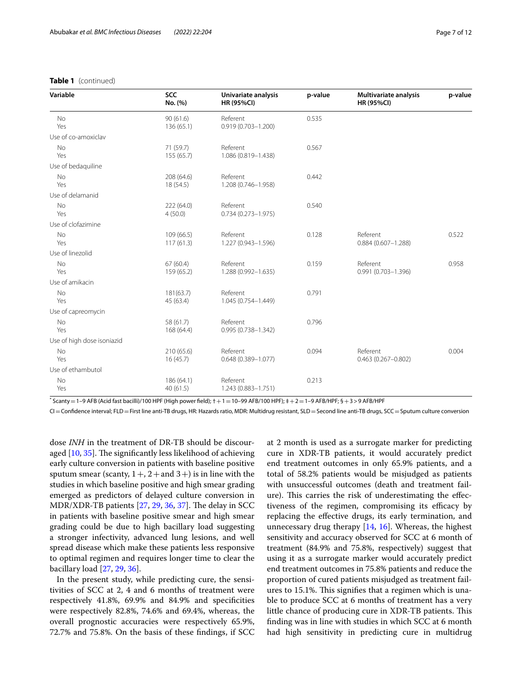#### **Table 1** (continued)

| Variable                   | <b>SCC</b><br>No. (%)   | Univariate analysis<br><b>HR (95%CI)</b> | p-value | <b>Multivariate analysis</b><br><b>HR (95%CI)</b> | p-value |
|----------------------------|-------------------------|------------------------------------------|---------|---------------------------------------------------|---------|
| <b>No</b><br>Yes           | 90(61.6)<br>136 (65.1)  | Referent<br>$0.919(0.703 - 1.200)$       | 0.535   |                                                   |         |
| Use of co-amoxiclav        |                         |                                          |         |                                                   |         |
| No<br>Yes                  | 71 (59.7)<br>155 (65.7) | Referent<br>1.086 (0.819-1.438)          | 0.567   |                                                   |         |
| Use of bedaquiline         |                         |                                          |         |                                                   |         |
| <b>No</b><br>Yes           | 208 (64.6)<br>18 (54.5) | Referent<br>1.208 (0.746-1.958)          | 0.442   |                                                   |         |
| Use of delamanid           |                         |                                          |         |                                                   |         |
| No<br>Yes                  | 222 (64.0)<br>4(50.0)   | Referent<br>$0.734(0.273 - 1.975)$       | 0.540   |                                                   |         |
| Use of clofazimine         |                         |                                          |         |                                                   |         |
| <b>No</b><br>Yes           | 109 (66.5)<br>117(61.3) | Referent<br>1.227 (0.943-1.596)          | 0.128   | Referent<br>$0.884(0.607 - 1.288)$                | 0.522   |
| Use of linezolid           |                         |                                          |         |                                                   |         |
| No<br>Yes                  | 67(60.4)<br>159 (65.2)  | Referent<br>1.288 (0.992-1.635)          | 0.159   | Referent<br>0.991 (0.703-1.396)                   | 0.958   |
| Use of amikacin            |                         |                                          |         |                                                   |         |
| <b>No</b><br>Yes           | 181(63.7)<br>45 (63.4)  | Referent<br>1.045 (0.754-1.449)          | 0.791   |                                                   |         |
| Use of capreomycin         |                         |                                          |         |                                                   |         |
| No<br>Yes                  | 58 (61.7)<br>168 (64.4) | Referent<br>0.995 (0.738-1.342)          | 0.796   |                                                   |         |
| Use of high dose isoniazid |                         |                                          |         |                                                   |         |
| <b>No</b><br>Yes           | 210 (65.6)<br>16(45.7)  | Referent<br>$0.648(0.389 - 1.077)$       | 0.094   | Referent<br>$0.463(0.267 - 0.802)$                | 0.004   |
| Use of ethambutol          |                         |                                          |         |                                                   |         |
| No<br>Yes                  | 186 (64.1)<br>40(61.5)  | Referent<br>1.243 (0.883-1.751)          | 0.213   |                                                   |         |

 $*$  Scanty  $=$  1–9 AFB (Acid fast bacilli)/100 HPF (High power field);  $+$  1  $=$  10–99 AFB/100 HPF);  $\pm$  + 2 $=$  1–9 AFB/HPF;  $\S +$  3 > 9 AFB/HPF

CI=Confdence interval; FLD=First line anti-TB drugs, HR: Hazards ratio, MDR: Multidrug resistant, SLD=Second line anti-TB drugs, SCC=Sputum culture conversion

dose *INH* in the treatment of DR-TB should be discouraged  $[10, 35]$  $[10, 35]$  $[10, 35]$ . The significantly less likelihood of achieving early culture conversion in patients with baseline positive sputum smear (scanty,  $1 +$ ,  $2 +$ and  $3 +$ ) is in line with the studies in which baseline positive and high smear grading emerged as predictors of delayed culture conversion in MDR/XDR-TB patients  $[27, 29, 36, 37]$  $[27, 29, 36, 37]$  $[27, 29, 36, 37]$  $[27, 29, 36, 37]$  $[27, 29, 36, 37]$  $[27, 29, 36, 37]$  $[27, 29, 36, 37]$ . The delay in SCC in patients with baseline positive smear and high smear grading could be due to high bacillary load suggesting a stronger infectivity, advanced lung lesions, and well spread disease which make these patients less responsive to optimal regimen and requires longer time to clear the bacillary load [[27,](#page-11-16) [29](#page-11-25), [36\]](#page-11-26).

In the present study, while predicting cure, the sensitivities of SCC at 2, 4 and 6 months of treatment were respectively 41.8%, 69.9% and 84.9% and specifcities were respectively 82.8%, 74.6% and 69.4%, whereas, the overall prognostic accuracies were respectively 65.9%, 72.7% and 75.8%. On the basis of these fndings, if SCC at 2 month is used as a surrogate marker for predicting cure in XDR-TB patients, it would accurately predict end treatment outcomes in only 65.9% patients, and a total of 58.2% patients would be misjudged as patients with unsuccessful outcomes (death and treatment failure). This carries the risk of underestimating the effectiveness of the regimen, compromising its efficacy by replacing the efective drugs, its early termination, and unnecessary drug therapy  $[14, 16]$  $[14, 16]$  $[14, 16]$  $[14, 16]$ . Whereas, the highest sensitivity and accuracy observed for SCC at 6 month of treatment (84.9% and 75.8%, respectively) suggest that using it as a surrogate marker would accurately predict end treatment outcomes in 75.8% patients and reduce the proportion of cured patients misjudged as treatment failures to 15.1%. This signifies that a regimen which is unable to produce SCC at 6 months of treatment has a very little chance of producing cure in XDR-TB patients. This fnding was in line with studies in which SCC at 6 month had high sensitivity in predicting cure in multidrug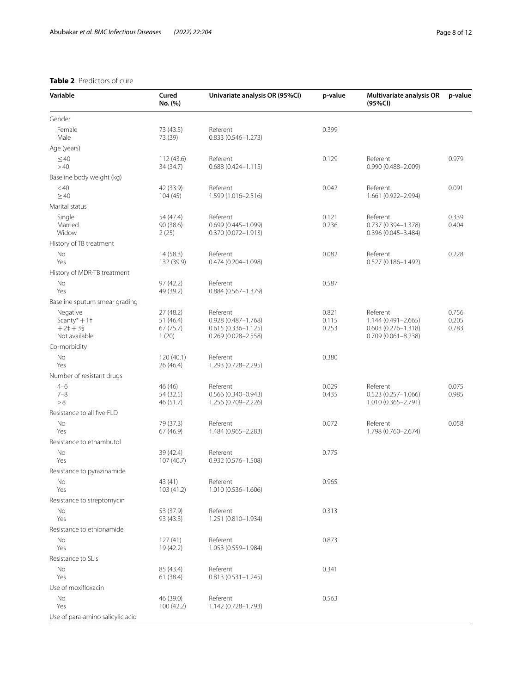## <span id="page-7-0"></span>**Table 2** Predictors of cure

| Variable                                                | Cured<br>No. (%)                            | Univariate analysis OR (95%Cl)                                                      | p-value                 | Multivariate analysis OR<br>(95%CI)                                                 | p-value                 |
|---------------------------------------------------------|---------------------------------------------|-------------------------------------------------------------------------------------|-------------------------|-------------------------------------------------------------------------------------|-------------------------|
| Gender                                                  |                                             |                                                                                     |                         |                                                                                     |                         |
| Female<br>Male                                          | 73 (43.5)<br>73 (39)                        | Referent<br>$0.833(0.546 - 1.273)$                                                  | 0.399                   |                                                                                     |                         |
| Age (years)                                             |                                             |                                                                                     |                         |                                                                                     |                         |
| $\leq 40$<br>>40                                        | 112(43.6)<br>34 (34.7)                      | Referent<br>$0.688(0.424 - 1.115)$                                                  | 0.129                   | Referent<br>$0.990(0.488 - 2.009)$                                                  | 0.979                   |
| Baseline body weight (kg)                               |                                             |                                                                                     |                         |                                                                                     |                         |
| < 40<br>$\geq 40$                                       | 42 (33.9)<br>104(45)                        | Referent<br>1.599 (1.016-2.516)                                                     | 0.042                   | Referent<br>1.661 (0.922-2.994)                                                     | 0.091                   |
| Marital status                                          |                                             |                                                                                     |                         |                                                                                     |                         |
| Single<br>Married<br>Widow                              | 54 (47.4)<br>90 (38.6)<br>2(25)             | Referent<br>0.699 (0.445-1.099)<br>0.370 (0.072-1.913)                              | 0.121<br>0.236          | Referent<br>0.737 (0.394-1.378)<br>0.396 (0.045-3.484)                              | 0.339<br>0.404          |
| History of TB treatment                                 |                                             |                                                                                     |                         |                                                                                     |                         |
| No<br>Yes                                               | 14(58.3)<br>132 (39.9)                      | Referent<br>0.474 (0.204-1.098)                                                     | 0.082                   | Referent<br>$0.527(0.186 - 1.492)$                                                  | 0.228                   |
| History of MDR-TB treatment                             |                                             |                                                                                     |                         |                                                                                     |                         |
| <b>No</b><br>Yes                                        | 97 (42.2)<br>49 (39.2)                      | Referent<br>$0.884(0.567 - 1.379)$                                                  | 0.587                   |                                                                                     |                         |
| Baseline sputum smear grading                           |                                             |                                                                                     |                         |                                                                                     |                         |
| Negative<br>Scanty* $+1$ †<br>$+2++39$<br>Not available | 27 (48.2)<br>51(46.4)<br>67 (75.7)<br>1(20) | Referent<br>0.928 (0.487-1.768)<br>$0.615(0.336 - 1.125)$<br>$0.269(0.028 - 2.558)$ | 0.821<br>0.115<br>0.253 | Referent<br>1.144 (0.491-2.665)<br>$0.603(0.276 - 1.318)$<br>$0.709(0.061 - 8.238)$ | 0.756<br>0.205<br>0.783 |
| Co-morbidity                                            |                                             |                                                                                     |                         |                                                                                     |                         |
| No<br>Yes                                               | 120(40.1)<br>26 (46.4)                      | Referent<br>1.293 (0.728-2.295)                                                     | 0.380                   |                                                                                     |                         |
| Number of resistant drugs                               |                                             |                                                                                     |                         |                                                                                     |                         |
| $4 - 6$<br>$7 - 8$<br>> 8                               | 46 (46)<br>54 (32.5)<br>46 (51.7)           | Referent<br>$0.566(0.340 - 0.943)$<br>1.256 (0.709-2.226)                           | 0.029<br>0.435          | Referent<br>$0.523(0.257 - 1.066)$<br>1.010 (0.365-2.791)                           | 0.075<br>0.985          |
| Resistance to all five FLD                              |                                             |                                                                                     |                         |                                                                                     |                         |
| No<br>Yes                                               | 79 (37.3)<br>67 (46.9)                      | Referent<br>1.484 (0.965-2.283)                                                     | 0.072                   | Referent<br>1.798 (0.760-2.674)                                                     | 0.058                   |
| Resistance to ethambutol                                |                                             |                                                                                     |                         |                                                                                     |                         |
| No<br>Yes                                               | 39 (42.4)<br>107 (40.7)                     | Referent<br>0.932 (0.576-1.508)                                                     | 0.775                   |                                                                                     |                         |
| Resistance to pyrazinamide                              |                                             |                                                                                     |                         |                                                                                     |                         |
| No<br>Yes                                               | 43 (41)<br>103 (41.2)                       | Referent<br>1.010 (0.536-1.606)                                                     | 0.965                   |                                                                                     |                         |
| Resistance to streptomycin                              |                                             |                                                                                     |                         |                                                                                     |                         |
| No<br>Yes                                               | 53 (37.9)<br>93 (43.3)                      | Referent<br>1.251 (0.810-1.934)                                                     | 0.313                   |                                                                                     |                         |
| Resistance to ethionamide                               |                                             |                                                                                     |                         |                                                                                     |                         |
| No<br>Yes                                               | 127(41)<br>19 (42.2)                        | Referent<br>1.053 (0.559-1.984)                                                     | 0.873                   |                                                                                     |                         |
| Resistance to SLIs                                      |                                             |                                                                                     |                         |                                                                                     |                         |
| No<br>Yes                                               | 85 (43.4)<br>61 (38.4)                      | Referent<br>$0.813(0.531 - 1.245)$                                                  | 0.341                   |                                                                                     |                         |
| Use of moxifloxacin                                     |                                             |                                                                                     |                         |                                                                                     |                         |
| No<br>Yes<br>Use of para-amino salicylic acid           | 46 (39.0)<br>100 (42.2)                     | Referent<br>1.142 (0.728-1.793)                                                     | 0.563                   |                                                                                     |                         |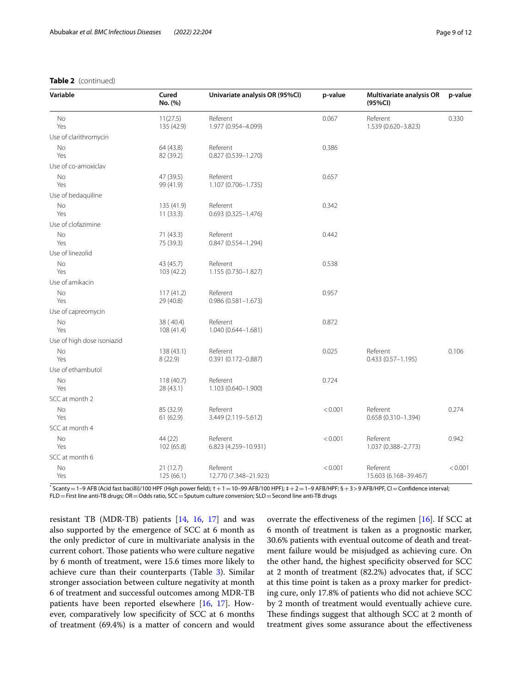## **Table 2** (continued)

| Variable                   | Cured<br>No. (%)        | Univariate analysis OR (95%CI)     | p-value | <b>Multivariate analysis OR</b><br>(95%CI) | p-value |
|----------------------------|-------------------------|------------------------------------|---------|--------------------------------------------|---------|
| No<br>Yes                  | 11(27.5)<br>135 (42.9)  | Referent<br>1.977 (0.954-4.099)    | 0.067   | Referent<br>1.539 (0.620-3.823)            | 0.330   |
| Use of clarithromycin      |                         |                                    |         |                                            |         |
| No<br>Yes                  | 64 (43.8)<br>82 (39.2)  | Referent<br>0.827 (0.539-1.270)    | 0.386   |                                            |         |
| Use of co-amoxiclav        |                         |                                    |         |                                            |         |
| No<br>Yes                  | 47 (39.5)<br>99 (41.9)  | Referent<br>1.107 (0.706-1.735)    | 0.657   |                                            |         |
| Use of bedaquiline         |                         |                                    |         |                                            |         |
| <b>No</b><br>Yes           | 135 (41.9)<br>11(33.3)  | Referent<br>$0.693(0.325 - 1.476)$ | 0.342   |                                            |         |
| Use of clofazimine         |                         |                                    |         |                                            |         |
| No<br>Yes                  | 71(43.3)<br>75 (39.3)   | Referent<br>$0.847(0.554 - 1.294)$ | 0.442   |                                            |         |
| Use of linezolid           |                         |                                    |         |                                            |         |
| No<br>Yes                  | 43 (45.7)<br>103 (42.2) | Referent<br>1.155 (0.730-1.827)    | 0.538   |                                            |         |
| Use of amikacin            |                         |                                    |         |                                            |         |
| <b>No</b><br>Yes           | 117(41.2)<br>29 (40.8)  | Referent<br>$0.986(0.581 - 1.673)$ | 0.957   |                                            |         |
| Use of capreomycin         |                         |                                    |         |                                            |         |
| No<br>Yes                  | 38 (40.4)<br>108 (41.4) | Referent<br>1.040 (0.644-1.681)    | 0.872   |                                            |         |
| Use of high dose isoniazid |                         |                                    |         |                                            |         |
| No<br>Yes                  | 138 (43.1)<br>8(22.9)   | Referent<br>0.391 (0.172-0.887)    | 0.025   | Referent<br>$0.433(0.57 - 1.195)$          | 0.106   |
| Use of ethambutol          |                         |                                    |         |                                            |         |
| No<br>Yes                  | 118(40.7)<br>28 (43.1)  | Referent<br>1.103 (0.640-1.900)    | 0.724   |                                            |         |
| SCC at month 2             |                         |                                    |         |                                            |         |
| No<br>Yes                  | 85 (32.9)<br>61(62.9)   | Referent<br>3.449 (2.119-5.612)    | < 0.001 | Referent<br>$0.658(0.310 - 1.394)$         | 0.274   |
| SCC at month 4             |                         |                                    |         |                                            |         |
| No<br>Yes                  | 44 (22)<br>102 (65.8)   | Referent<br>6.823 (4.259-10.931)   | < 0.001 | Referent<br>1.037 (0.388-2.773)            | 0.942   |
| SCC at month 6             |                         |                                    |         |                                            |         |
| No<br>Yes                  | 21(12.7)<br>125(66.1)   | Referent<br>12.770 (7.348-21.923)  | < 0.001 | Referent<br>15.603 (6.168-39.467)          | < 0.001 |

III)/100 HPF (High power field); † + 1 = 10–99 AFB/100 HPF); ‡ + 2 = 1–9 AFB/HPF; § + 3 > 9 AFB/HPF, CI = Confidence interval FLD=First line anti-TB drugs; OR=Odds ratio, SCC=Sputum culture conversion; SLD=Second line anti-TB drugs

resistant TB (MDR-TB) patients  $[14, 16, 17]$  $[14, 16, 17]$  $[14, 16, 17]$  $[14, 16, 17]$  $[14, 16, 17]$  $[14, 16, 17]$  and was also supported by the emergence of SCC at 6 month as the only predictor of cure in multivariate analysis in the current cohort. Those patients who were culture negative by 6 month of treatment, were 15.6 times more likely to achieve cure than their counterparts (Table [3\)](#page-9-0). Similar stronger association between culture negativity at month 6 of treatment and successful outcomes among MDR-TB patients have been reported elsewhere [[16](#page-11-6), [17](#page-11-9)]. However, comparatively low specifcity of SCC at 6 months of treatment (69.4%) is a matter of concern and would overrate the effectiveness of the regimen  $[16]$  $[16]$ . If SCC at 6 month of treatment is taken as a prognostic marker, 30.6% patients with eventual outcome of death and treatment failure would be misjudged as achieving cure. On the other hand, the highest specifcity observed for SCC at 2 month of treatment (82.2%) advocates that, if SCC at this time point is taken as a proxy marker for predicting cure, only 17.8% of patients who did not achieve SCC by 2 month of treatment would eventually achieve cure. These findings suggest that although SCC at 2 month of treatment gives some assurance about the efectiveness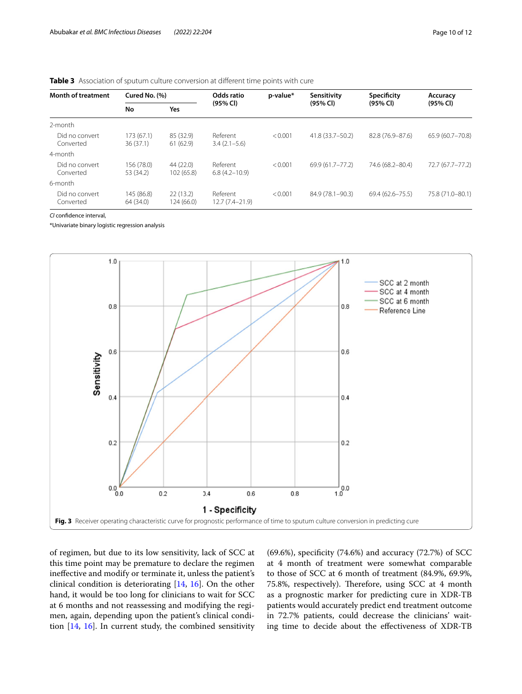#### <span id="page-9-0"></span>**Table 3** Association of sputum culture conversion at different time points with cure

| <b>Month of treatment</b>   | Cured No. (%)           |                         | Odds ratio                    | p-value* | Sensitivity        | Specificity          | Accuracy         |
|-----------------------------|-------------------------|-------------------------|-------------------------------|----------|--------------------|----------------------|------------------|
|                             | No                      | Yes                     | (95% CI)                      |          | (95% Cl)           | $(95% \, \text{Cl})$ | (95% CI)         |
| 2-month                     |                         |                         |                               |          |                    |                      |                  |
| Did no convert<br>Converted | 173(67.1)<br>36 (37.1)  | 85 (32.9)<br>61(62.9)   | Referent<br>$3.4(2.1-5.6)$    | < 0.001  | 41.8 (33.7-50.2)   | 82.8 (76.9-87.6)     | 65.9 (60.7-70.8) |
| 4-month                     |                         |                         |                               |          |                    |                      |                  |
| Did no convert<br>Converted | 156 (78.0)<br>53 (34.2) | 44 (22.0)<br>102 (65.8) | Referent<br>$6.8(4.2 - 10.9)$ | < 0.001  | 69.9 (61.7 - 77.2) | 74.6 (68.2-80.4)     | 72.7 (67.7–77.2) |
| 6-month                     |                         |                         |                               |          |                    |                      |                  |
| Did no convert<br>Converted | 145 (86.8)<br>64 (34.0) | 22(13.2)<br>124 (66.0)  | Referent<br>$12.7(7.4-21.9)$  | < 0.001  | 84.9 (78.1-90.3)   | $69.4(62.6 - 75.5)$  | 75.8 (71.0-80.1) |

*CI* confdence interval,

\*Univariate binary logistic regression analysis



<span id="page-9-1"></span>of regimen, but due to its low sensitivity, lack of SCC at this time point may be premature to declare the regimen inefective and modify or terminate it, unless the patient's clinical condition is deteriorating [[14](#page-11-4), [16\]](#page-11-6). On the other hand, it would be too long for clinicians to wait for SCC at 6 months and not reassessing and modifying the regimen, again, depending upon the patient's clinical condition [[14,](#page-11-4) [16\]](#page-11-6). In current study, the combined sensitivity (69.6%), specifcity (74.6%) and accuracy (72.7%) of SCC at 4 month of treatment were somewhat comparable to those of SCC at 6 month of treatment (84.9%, 69.9%, 75.8%, respectively). Therefore, using SCC at 4 month as a prognostic marker for predicting cure in XDR-TB patients would accurately predict end treatment outcome in 72.7% patients, could decrease the clinicians' waiting time to decide about the efectiveness of XDR-TB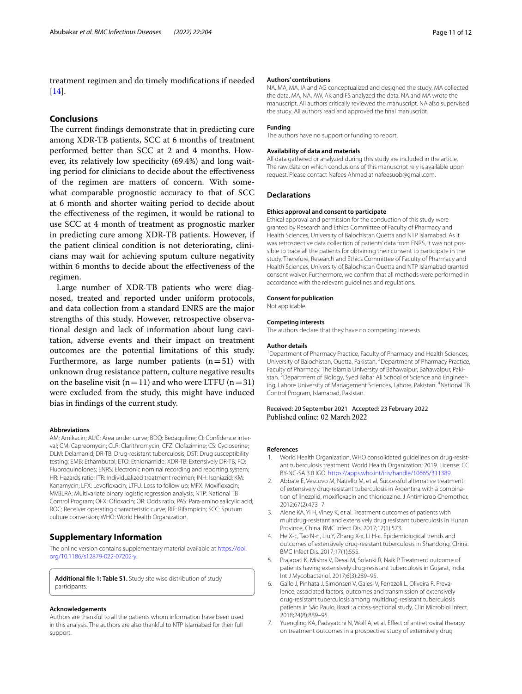treatment regimen and do timely modifcations if needed [[14\]](#page-11-4).

## **Conclusions**

The current findings demonstrate that in predicting cure among XDR-TB patients, SCC at 6 months of treatment performed better than SCC at 2 and 4 months. However, its relatively low specificity (69.4%) and long waiting period for clinicians to decide about the efectiveness of the regimen are matters of concern. With somewhat comparable prognostic accuracy to that of SCC at 6 month and shorter waiting period to decide about the efectiveness of the regimen, it would be rational to use SCC at 4 month of treatment as prognostic marker in predicting cure among XDR-TB patients. However, if the patient clinical condition is not deteriorating, clinicians may wait for achieving sputum culture negativity within 6 months to decide about the efectiveness of the regimen.

Large number of XDR-TB patients who were diagnosed, treated and reported under uniform protocols, and data collection from a standard ENRS are the major strengths of this study. However, retrospective observational design and lack of information about lung cavitation, adverse events and their impact on treatment outcomes are the potential limitations of this study. Furthermore, as large number patients  $(n=51)$  with unknown drug resistance pattern, culture negative results on the baseline visit ( $n=11$ ) and who were LTFU ( $n=31$ ) were excluded from the study, this might have induced bias in fndings of the current study.

#### **Abbreviations**

AM: Amikacin; AUC: Area under curve; BDQ: Bedaquiline; CI: Confdence interval; CM: Capreomycin; CLR: Clarithromycin; CFZ: Clofazimine; CS: Cycloserine; DLM: Delamanid; DR-TB: Drug-resistant tuberculosis; DST: Drug susceptibility testing; EMB: Ethambutol; ETO: Ethionamide; XDR-TB: Extensively DR-TB; FQ: Fluoroquinolones; ENRS: Electronic nominal recording and reporting system; HR: Hazards ratio; ITR: Individualized treatment regimen; INH: Isoniazid; KM: Kanamycin; LFX: Levofloxacin; LTFU: Loss to follow up; MFX: Moxifloxacin; MVBLRA: Multivariate binary logistic regression analysis; NTP: National TB Control Program; OFX: Ofoxacin; OR: Odds ratio; PAS: Para-amino salicylic acid; ROC: Receiver operating characteristic curve; RIF: Rifampicin; SCC: Sputum culture conversion; WHO: World Health Organization.

## **Supplementary Information**

The online version contains supplementary material available at [https://doi.](https://doi.org/10.1186/s12879-022-07202-y) [org/10.1186/s12879-022-07202-y.](https://doi.org/10.1186/s12879-022-07202-y)

<span id="page-10-2"></span>**Additional fle 1: Table S1.** Study site wise distribution of study participants.

#### **Acknowledgements**

Authors are thankful to all the patients whom information have been used in this analysis. The authors are also thankful to NTP Islamabad for their full support.

#### **Authors' contributions**

NA, MA, MA, IA and AG conceptualized and designed the study. MA collected the data. MA, NA, AW, AK and FS analyzed the data. NA and MA wrote the manuscript. All authors critically reviewed the manuscript. NA also supervised the study. All authors read and approved the fnal manuscript.

#### **Funding**

The authors have no support or funding to report.

#### **Availability of data and materials**

All data gathered or analyzed during this study are included in the article. The raw data on which conclusions of this manuscript rely is available upon request. Please contact Nafees Ahmad at nafeesuob@gmail.com.

## **Declarations**

#### **Ethics approval and consent to participate**

Ethical approval and permission for the conduction of this study were granted by Research and Ethics Committee of Faculty of Pharmacy and Health Sciences, University of Balochistan Quetta and NTP Islamabad. As it was retrospective data collection of patients' data from ENRS, it was not possible to trace all the patients for obtaining their consent to participate in the study. Therefore, Research and Ethics Committee of Faculty of Pharmacy and Health Sciences, University of Balochistan Quetta and NTP Islamabad granted consent waiver. Furthermore, we confrm that all methods were performed in accordance with the relevant guidelines and regulations.

#### **Consent for publication**

Not applicable.

#### **Competing interests**

The authors declare that they have no competing interests.

#### **Author details**

<sup>1</sup> Department of Pharmacy Practice, Faculty of Pharmacy and Health Sciences, University of Balochistan, Quetta, Pakistan. <sup>2</sup> Department of Pharmacy Practice, Faculty of Pharmacy, The Islamia University of Bahawalpur, Bahawalpur, Pakistan. <sup>3</sup> Department of Biology, Syed Babar Ali School of Science and Engineering, Lahore University of Management Sciences, Lahore, Pakistan. <sup>4</sup>National TB Control Program, Islamabad, Pakistan.

## Received: 20 September 2021 Accepted: 23 February 2022

#### **References**

- <span id="page-10-0"></span>1. World Health Organization. WHO consolidated guidelines on drug-resistant tuberculosis treatment. World Health Organization; 2019. License: CC BY-NC-SA 3.0 IGO.<https://apps.who.int/iris/handle/10665/311389>.
- <span id="page-10-1"></span>2. Abbate E, Vescovo M, Natiello M, et al. Successful alternative treatment of extensively drug-resistant tuberculosis in Argentina with a combination of linezolid, moxifoxacin and thioridazine. J Antimicrob Chemother. 2012;67(2):473–7.
- 3. Alene KA, Yi H, Viney K, et al. Treatment outcomes of patients with multidrug-resistant and extensively drug resistant tuberculosis in Hunan Province, China. BMC Infect Dis. 2017;17(1):573.
- 4. He X-c, Tao N-n, Liu Y, Zhang X-x, Li H-c. Epidemiological trends and outcomes of extensively drug-resistant tuberculosis in Shandong, China. BMC Infect Dis. 2017;17(1):555.
- <span id="page-10-3"></span>5. Prajapati K, Mishra V, Desai M, Solanki R, Naik P. Treatment outcome of patients having extensively drug-resistant tuberculosis in Gujarat, India. Int J Mycobacteriol. 2017;6(3):289–95.
- 6. Gallo J, Pinhata J, Simonsen V, Galesi V, Ferrazoli L, Oliveira R. Prevalence, associated factors, outcomes and transmission of extensively drug-resistant tuberculosis among multidrug-resistant tuberculosis patients in São Paulo, Brazil: a cross-sectional study. Clin Microbiol Infect. 2018;24(8):889–95.
- Yuengling KA, Padayatchi N, Wolf A, et al. Effect of antiretroviral therapy on treatment outcomes in a prospective study of extensively drug